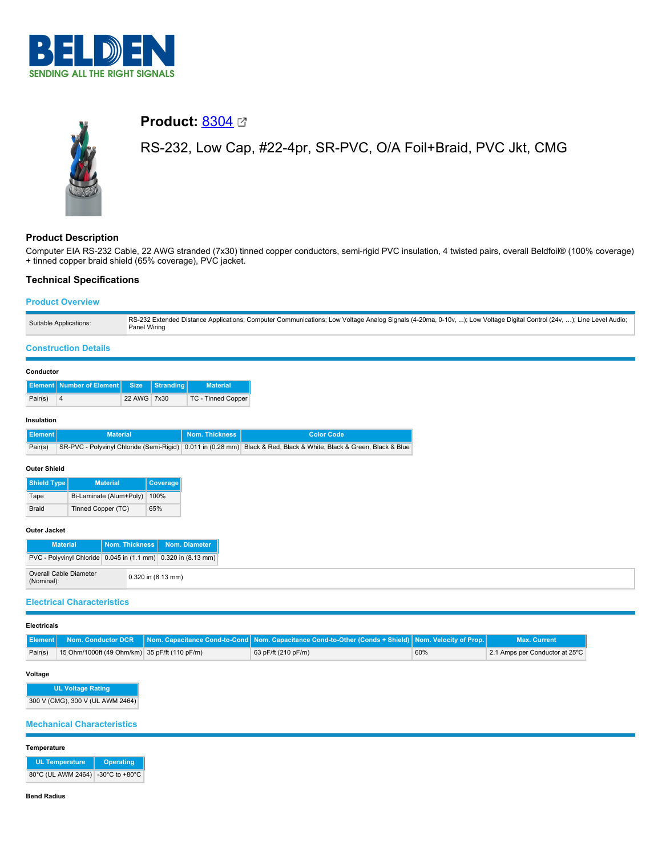



# **Product:** [8304](https://catalog.belden.com/index.cfm?event=pd&p=PF_8304&tab=downloads)

RS-232, Low Cap, #22-4pr, SR-PVC, O/A Foil+Braid, PVC Jkt, CMG

# **Product Description**

Computer EIA RS-232 Cable, 22 AWG stranded (7x30) tinned copper conductors, semi-rigid PVC insulation, 4 twisted pairs, overall Beldfoil® (100% coverage) + tinned copper braid shield (65% coverage), PVC jacket.

# **Technical Specifications**

# **Product Overview**

| Suitable Applications: | RS-232 Extended Distance Applications; Computer Communications; Low Voltage Analog Signals (4-20ma, 0-10v, ); Low Voltage Digital Control (24v, ); Line Level Audio;<br>Panel Wiring |
|------------------------|--------------------------------------------------------------------------------------------------------------------------------------------------------------------------------------|
|------------------------|--------------------------------------------------------------------------------------------------------------------------------------------------------------------------------------|

### **Construction Details**

#### **Conductor**

|         | Element Number of Element Size Stranding |             | <b>Material</b>           |
|---------|------------------------------------------|-------------|---------------------------|
| Pair(s) |                                          | 22 AWG 7x30 | <b>TC - Tinned Copper</b> |

#### **Insulation**

| ll Element l' | <b>Material</b> | Nom. Thickness N | L Color Code                                                                                                          |
|---------------|-----------------|------------------|-----------------------------------------------------------------------------------------------------------------------|
| Pair(s)       |                 |                  | SR-PVC - Polyvinyl Chloride (Semi-Rigid)   0.011 in (0.28 mm) Black & Red, Black & White, Black & Green, Black & Blue |

#### **Outer Shield**

| <b>Shield Type</b> | <b>Material</b>         | Coverage |
|--------------------|-------------------------|----------|
| Tape               | Bi-Laminate (Alum+Poly) | 100%     |
| <b>Braid</b>       | Tinned Copper (TC)      | 65%      |

#### **Outer Jacket**

| <b>Material</b>                                                                |                    | Nom. Thickness   Nom. Diameter |
|--------------------------------------------------------------------------------|--------------------|--------------------------------|
| $ PVC - Polyviny $ Chloride $ 0.045$ in $(1.1$ mm $) 0.320$ in $(8.13$ mm $) $ |                    |                                |
| Overall Cable Diameter<br>(Nominal):                                           | 0.320 in (8.13 mm) |                                |

# **Electrical Characteristics**

#### **Electricals**

|         |                                                 | Element Nom, Conductor DCR Nom, Capacitance Cond-to-Cond Nom, Capacitance Cond-to-Other (Conds + Shield) Nom, Velocity of Prop. |     | <b>Max. Current</b>            |
|---------|-------------------------------------------------|---------------------------------------------------------------------------------------------------------------------------------|-----|--------------------------------|
| Pair(s) | 15 Ohm/1000ft (49 Ohm/km)   35 pF/ft (110 pF/m) | 63 pF/ft (210 pF/m)                                                                                                             | 60% | 2.1 Amps per Conductor at 25°C |

#### **Voltage**

| <b>UL Voltage Rating</b>         |  |
|----------------------------------|--|
| 300 V (CMG), 300 V (UL AWM 2464) |  |

# **Mechanical Characteristics**

#### **Temperature**

| <b>UL Temperature</b>             | Operating |  |
|-----------------------------------|-----------|--|
| 80°C (UL AWM 2464) -30°C to +80°C |           |  |

#### **Bend Radius**